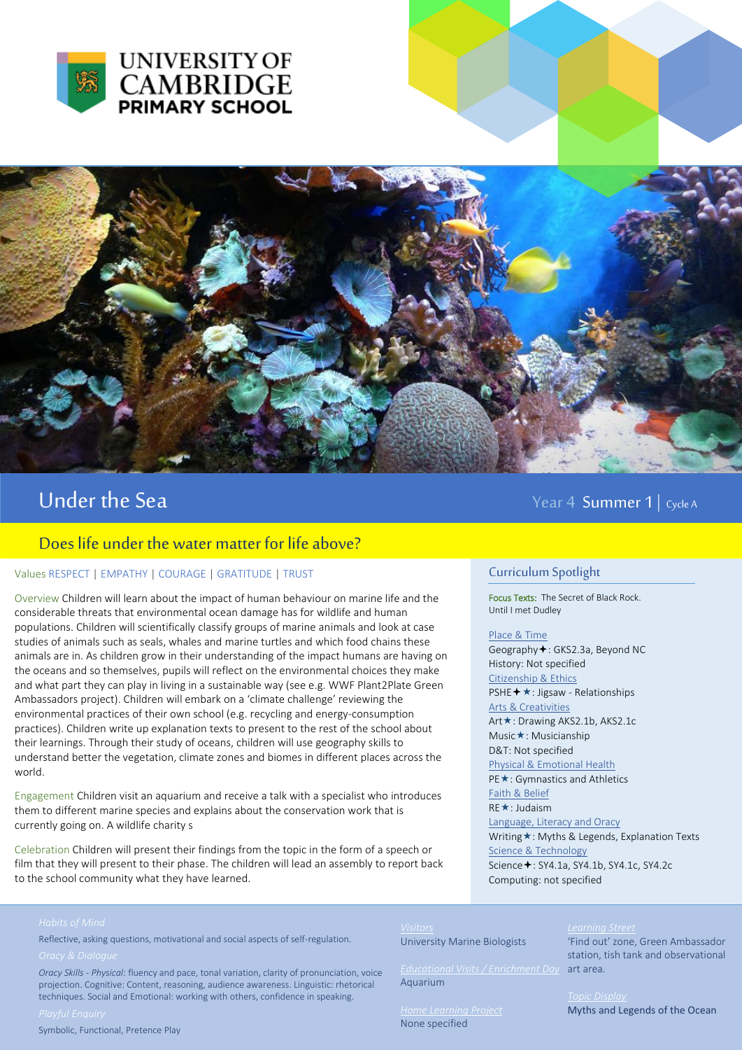



# Under the Sea Year 4 Summer 1 | Cycle A

## Does life under the water matter for life above?

### Values RESPECT | EMPATHY | COURAGE | GRATITUDE | TRUST

Overview Children will learn about the impact of human behaviour on marine life and the considerable threats that environmental ocean damage has for wildlife and human populations. Children will scientifically classify groups of marine animals and look at case studies of animals such as seals, whales and marine turtles and which food chains these animals are in. As children grow in their understanding of the impact humans are having on the oceans and so themselves, pupils will reflect on the environmental choices they make and what part they can play in living in a sustainable way (see e.g. WWF Plant2Plate Green Ambassadors project). Children will embark on a 'climate challenge' reviewing the environmental practices of their own school (e.g. recycling and energy-consumption practices). Children write up explanation texts to present to the rest of the school about their learnings. Through their study of oceans, children will use geography skills to understand better the vegetation, climate zones and biomes in different places across the world.

Engagement Children visit an aquarium and receive a talk with a specialist who introduces them to different marine species and explains about the conservation work that is currently going on. A wildlife charity s

Celebration Children will present their findings from the topic in the form of a speech or film that they will present to their phase. The children will lead an assembly to report back to the school community what they have learned.

### Curriculum Spotlight

Focus Texts: The Secret of Black Rock. Until I met Dudley

### Place & Time

Geography  $\div$ : GKS2.3a, Beyond NC History: Not specified Citizenship & Ethics PSHE + ★: Jigsaw - Relationships Arts & Creativities Art **★**: Drawing AKS2.1b, AKS2.1c Music**★**: Musicianship D&T: Not specified Physical & Emotional Health PE ★: Gymnastics and Athletics Faith & Belief **RE**\*: Judaism Language, Literacy and Oracy Writing \*: Myths & Legends, Explanation Texts Science & Technology Science **+**: SY4.1a, SY4.1b, SY4.1c, SY4.2c Computing: not specified

Reflective, asking questions, motivational and social aspects of self-regulation.

University Marine Biologists

Aquarium

*Home Learning Project*  None specified

'Find out' zone, Green Ambassador station, tish tank and observational art area.

Myths and Legends of the Ocean

*Oracy Skills - Physical*: fluency and pace, tonal variation, clarity of pronunciation, voice projection. Cognitive: Content, reasoning, audience awareness. Linguistic: rhetorical techniques. Social and Emotional: working with others, confidence in speaking.

Symbolic, Functional, Pretence Play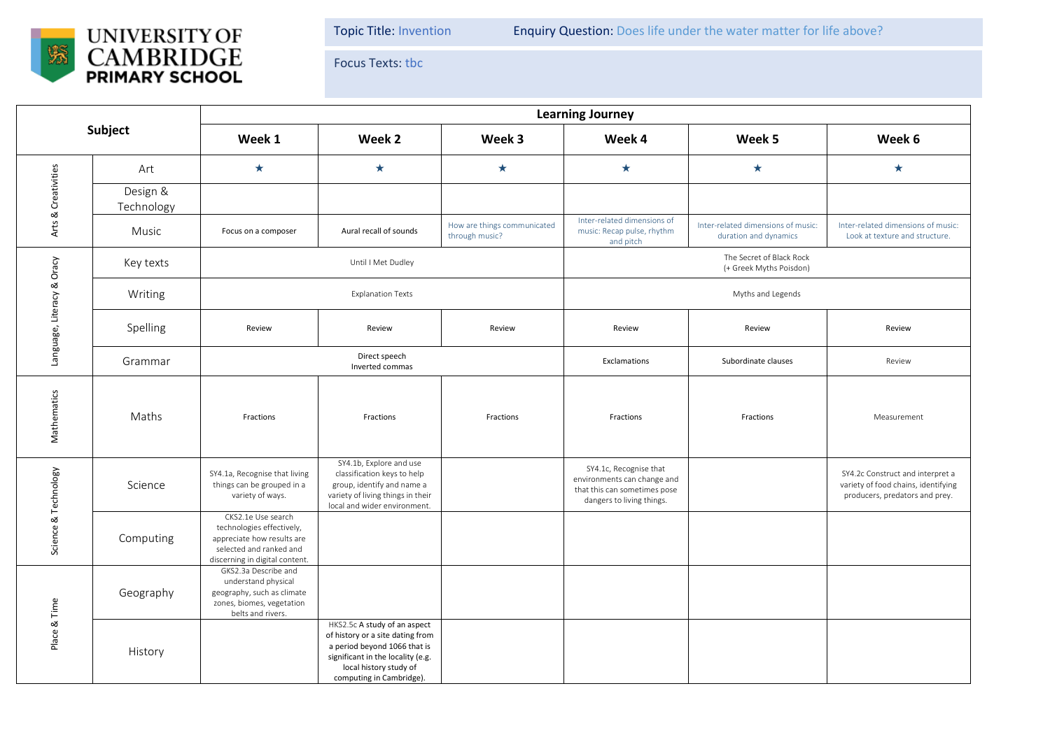

Topic Title: Invention Enquiry Question: Does life under the water matter for life above?

Focus Texts: tbc

| Subject                    |                        | <b>Learning Journey</b>                                                                                                                    |                                                                                                                                                                                             |                                               |                                                                                                                    |                                                             |                                                                                                           |  |  |
|----------------------------|------------------------|--------------------------------------------------------------------------------------------------------------------------------------------|---------------------------------------------------------------------------------------------------------------------------------------------------------------------------------------------|-----------------------------------------------|--------------------------------------------------------------------------------------------------------------------|-------------------------------------------------------------|-----------------------------------------------------------------------------------------------------------|--|--|
|                            |                        | Week 1                                                                                                                                     | Week 2                                                                                                                                                                                      | Week 3                                        | Week 4                                                                                                             | Week 5                                                      | Week 6                                                                                                    |  |  |
| Arts & Creativities        | Art                    | $\star$                                                                                                                                    | $\star$                                                                                                                                                                                     | $\star$                                       | $\star$                                                                                                            | $\star$                                                     | $\star$                                                                                                   |  |  |
|                            | Design &<br>Technology |                                                                                                                                            |                                                                                                                                                                                             |                                               |                                                                                                                    |                                                             |                                                                                                           |  |  |
|                            | Music                  | Focus on a composer                                                                                                                        | Aural recall of sounds                                                                                                                                                                      | How are things communicated<br>through music? | Inter-related dimensions of<br>music: Recap pulse, rhythm<br>and pitch                                             | Inter-related dimensions of music:<br>duration and dynamics | Inter-related dimensions of music:<br>Look at texture and structure.                                      |  |  |
| Language, Literacy & Oracy | Key texts              | Until I Met Dudley                                                                                                                         |                                                                                                                                                                                             |                                               | The Secret of Black Rock<br>(+ Greek Myths Poisdon)                                                                |                                                             |                                                                                                           |  |  |
|                            | Writing                | <b>Explanation Texts</b>                                                                                                                   |                                                                                                                                                                                             |                                               | Myths and Legends                                                                                                  |                                                             |                                                                                                           |  |  |
|                            | Spelling               | Review                                                                                                                                     | Review                                                                                                                                                                                      | Review                                        | Review                                                                                                             | Review                                                      | Review                                                                                                    |  |  |
|                            | Grammar                | Direct speech<br>Inverted commas                                                                                                           |                                                                                                                                                                                             |                                               | Exclamations                                                                                                       | Subordinate clauses                                         | Review                                                                                                    |  |  |
| Mathematics                | Maths                  | Fractions                                                                                                                                  | Fractions                                                                                                                                                                                   | Fractions                                     | Fractions                                                                                                          | Fractions                                                   | Measurement                                                                                               |  |  |
| Science & Technology       | Science                | SY4.1a, Recognise that living<br>things can be grouped in a<br>variety of ways.                                                            | SY4.1b, Explore and use<br>classification keys to help<br>group, identify and name a<br>variety of living things in their<br>local and wider environment.                                   |                                               | SY4.1c, Recognise that<br>environments can change and<br>that this can sometimes pose<br>dangers to living things. |                                                             | SY4.2c Construct and interpret a<br>variety of food chains, identifying<br>producers, predators and prey. |  |  |
|                            | Computing              | CKS2.1e Use search<br>technologies effectively,<br>appreciate how results are<br>selected and ranked and<br>discerning in digital content. |                                                                                                                                                                                             |                                               |                                                                                                                    |                                                             |                                                                                                           |  |  |
| Place & Time               | Geography              | GKS2.3a Describe and<br>understand physical<br>geography, such as climate<br>zones, biomes, vegetation<br>belts and rivers.                |                                                                                                                                                                                             |                                               |                                                                                                                    |                                                             |                                                                                                           |  |  |
|                            | History                |                                                                                                                                            | HKS2.5c A study of an aspect<br>of history or a site dating from<br>a period beyond 1066 that is<br>significant in the locality (e.g.<br>local history study of<br>computing in Cambridge). |                                               |                                                                                                                    |                                                             |                                                                                                           |  |  |